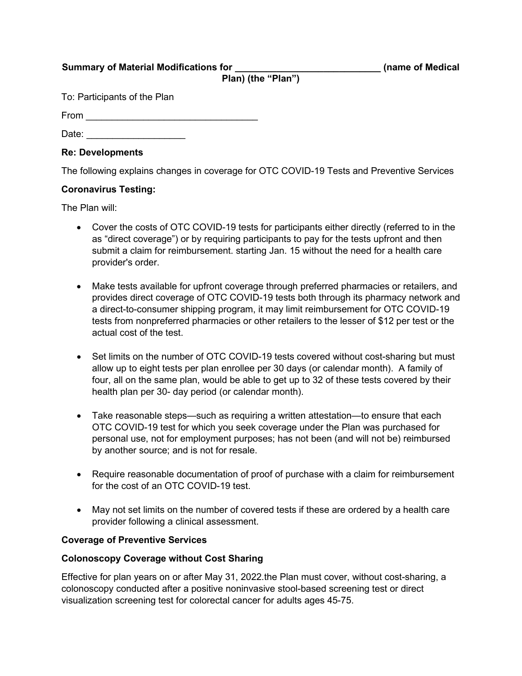**Summary of Material Modifications for \_\_\_\_\_\_\_\_\_\_\_\_\_\_\_\_\_\_\_\_\_\_\_\_\_\_\_\_ (name of Medical**

**Plan) (the "Plan")**

To: Participants of the Plan

 $From$ 

Date:

## **Re: Developments**

The following explains changes in coverage for OTC COVID-19 Tests and Preventive Services

# **Coronavirus Testing:**

The Plan will:

- Cover the costs of OTC COVID-19 tests for participants either directly (referred to in the as "direct coverage") or by requiring participants to pay for the tests upfront and then submit a claim for reimbursement. starting Jan. 15 without the need for a health care provider's order.
- Make tests available for upfront coverage through preferred pharmacies or retailers, and provides direct coverage of OTC COVID-19 tests both through its pharmacy network and a direct-to-consumer shipping program, it may limit reimbursement for OTC COVID-19 tests from nonpreferred pharmacies or other retailers to the lesser of \$12 per test or the actual cost of the test.
- Set limits on the number of OTC COVID-19 tests covered without cost-sharing but must allow up to eight tests per plan enrollee per 30 days (or calendar month). A family of four, all on the same plan, would be able to get up to 32 of these tests covered by their health plan per 30- day period (or calendar month).
- Take reasonable steps—such as requiring a written attestation—to ensure that each OTC COVID-19 test for which you seek coverage under the Plan was purchased for personal use, not for employment purposes; has not been (and will not be) reimbursed by another source; and is not for resale.
- Require reasonable documentation of proof of purchase with a claim for reimbursement for the cost of an OTC COVID-19 test.
- May not set limits on the number of covered tests if these are ordered by a health care provider following a clinical assessment.

### **Coverage of Preventive Services**

### **Colonoscopy Coverage without Cost Sharing**

Effective for plan years on or after May 31, 2022.the Plan must cover, without cost-sharing, a colonoscopy conducted after a positive noninvasive stool-based screening test or direct visualization screening test for colorectal cancer for adults ages 45-75.